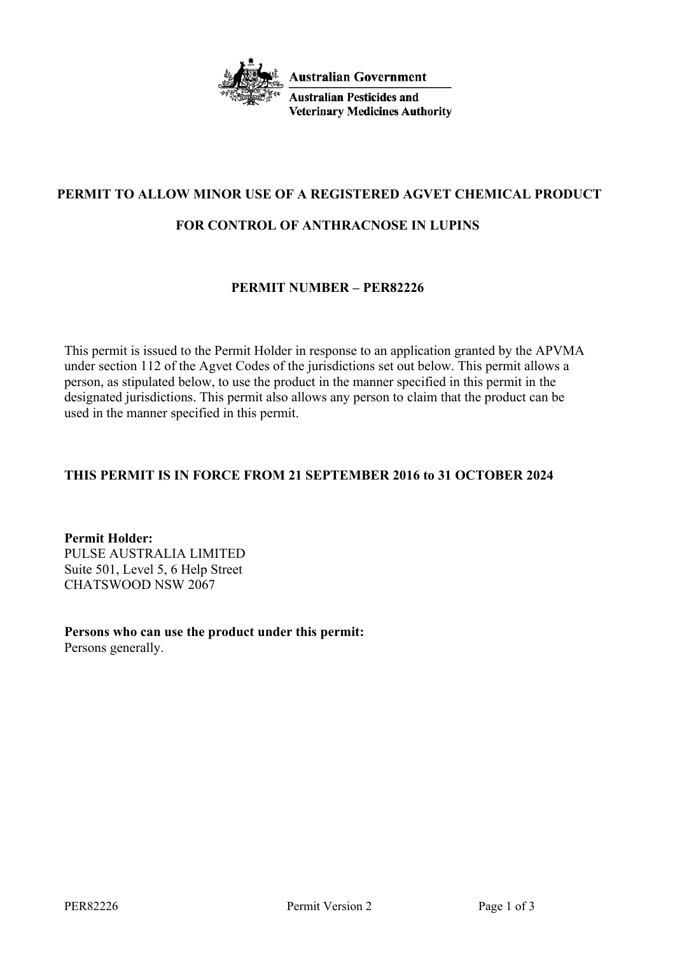

# **PERMIT TO ALLOW MINOR USE OF A REGISTERED AGVET CHEMICAL PRODUCT**

## **FOR CONTROL OF ANTHRACNOSE IN LUPINS**

## **PERMIT NUMBER – PER82226**

This permit is issued to the Permit Holder in response to an application granted by the APVMA under section 112 of the Agvet Codes of the jurisdictions set out below. This permit allows a person, as stipulated below, to use the product in the manner specified in this permit in the designated jurisdictions. This permit also allows any person to claim that the product can be used in the manner specified in this permit.

# **THIS PERMIT IS IN FORCE FROM 21 SEPTEMBER 2016 to 31 OCTOBER 2024**

**Permit Holder:** PULSE AUSTRALIA LIMITED Suite 501, Level 5, 6 Help Street CHATSWOOD NSW 2067

**Persons who can use the product under this permit:** Persons generally.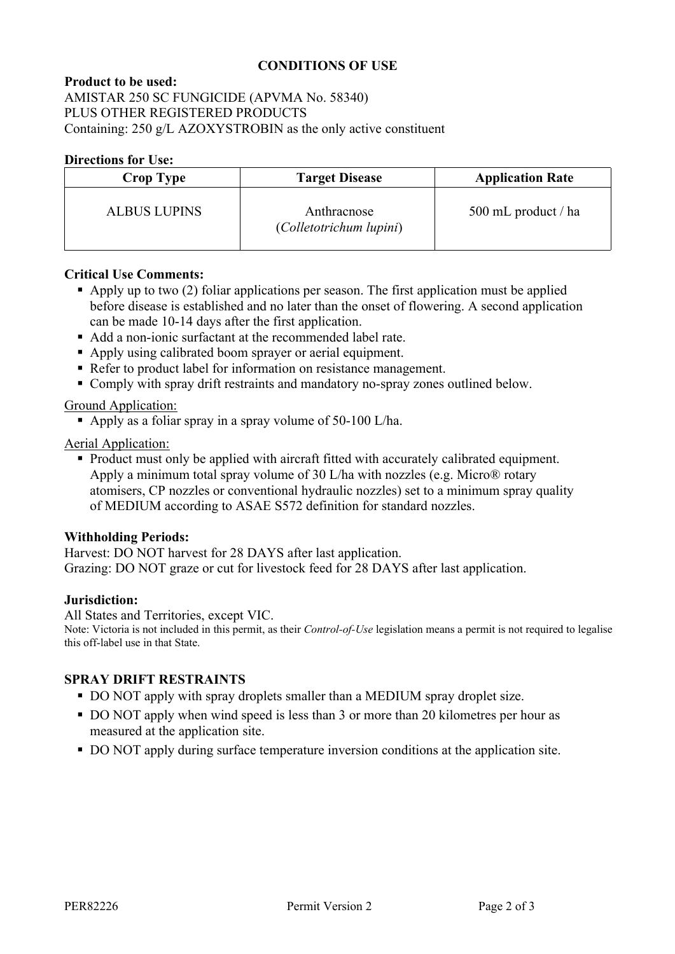# **CONDITIONS OF USE**

**Product to be used:** AMISTAR 250 SC FUNGICIDE (APVMA No. 58340) PLUS OTHER REGISTERED PRODUCTS Containing: 250 g/L AZOXYSTROBIN as the only active constituent

#### **Directions for Use:**

| <b>Crop Type</b>    | <b>Target Disease</b>                  | <b>Application Rate</b> |
|---------------------|----------------------------------------|-------------------------|
| <b>ALBUS LUPINS</b> | Anthracnose<br>(Colletotrichum lupini) | 500 mL product / ha     |

#### **Critical Use Comments:**

- Apply up to two  $(2)$  foliar applications per season. The first application must be applied before disease is established and no later than the onset of flowering. A second application can be made 10-14 days after the first application.
- Add a non-ionic surfactant at the recommended label rate.
- Apply using calibrated boom sprayer or aerial equipment.
- Refer to product label for information on resistance management.
- Comply with spray drift restraints and mandatory no-spray zones outlined below.

### Ground Application:

Apply as a foliar spray in a spray volume of 50-100 L/ha.

### Aerial Application:

 Product must only be applied with aircraft fitted with accurately calibrated equipment. Apply a minimum total spray volume of 30 L/ha with nozzles (e.g. Micro® rotary atomisers, CP nozzles or conventional hydraulic nozzles) set to a minimum spray quality of MEDIUM according to ASAE S572 definition for standard nozzles.

### **Withholding Periods:**

Harvest: DO NOT harvest for 28 DAYS after last application. Grazing: DO NOT graze or cut for livestock feed for 28 DAYS after last application.

#### **Jurisdiction:**

All States and Territories, except VIC.

Note: Victoria is not included in this permit, as their *Control-of-Use* legislation means a permit is not required to legalise this off-label use in that State.

## **SPRAY DRIFT RESTRAINTS**

- DO NOT apply with spray droplets smaller than a MEDIUM spray droplet size.
- DO NOT apply when wind speed is less than 3 or more than 20 kilometres per hour as measured at the application site.
- DO NOT apply during surface temperature inversion conditions at the application site.